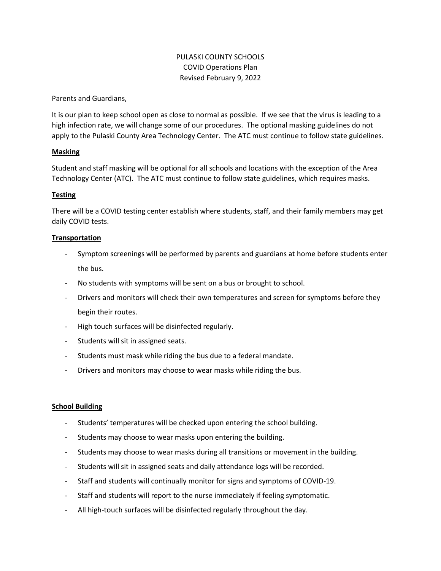# PULASKI COUNTY SCHOOLS COVID Operations Plan Revised February 9, 2022

Parents and Guardians,

It is our plan to keep school open as close to normal as possible. If we see that the virus is leading to a high infection rate, we will change some of our procedures. The optional masking guidelines do not apply to the Pulaski County Area Technology Center. The ATC must continue to follow state guidelines.

## **Masking**

Student and staff masking will be optional for all schools and locations with the exception of the Area Technology Center (ATC). The ATC must continue to follow state guidelines, which requires masks.

## **Testing**

There will be a COVID testing center establish where students, staff, and their family members may get daily COVID tests.

## **Transportation**

- Symptom screenings will be performed by parents and guardians at home before students enter the bus.
- No students with symptoms will be sent on a bus or brought to school.
- Drivers and monitors will check their own temperatures and screen for symptoms before they begin their routes.
- High touch surfaces will be disinfected regularly.
- Students will sit in assigned seats.
- Students must mask while riding the bus due to a federal mandate.
- Drivers and monitors may choose to wear masks while riding the bus.

## **School Building**

- Students' temperatures will be checked upon entering the school building.
- Students may choose to wear masks upon entering the building.
- Students may choose to wear masks during all transitions or movement in the building.
- Students will sit in assigned seats and daily attendance logs will be recorded.
- Staff and students will continually monitor for signs and symptoms of COVID-19.
- Staff and students will report to the nurse immediately if feeling symptomatic.
- All high-touch surfaces will be disinfected regularly throughout the day.